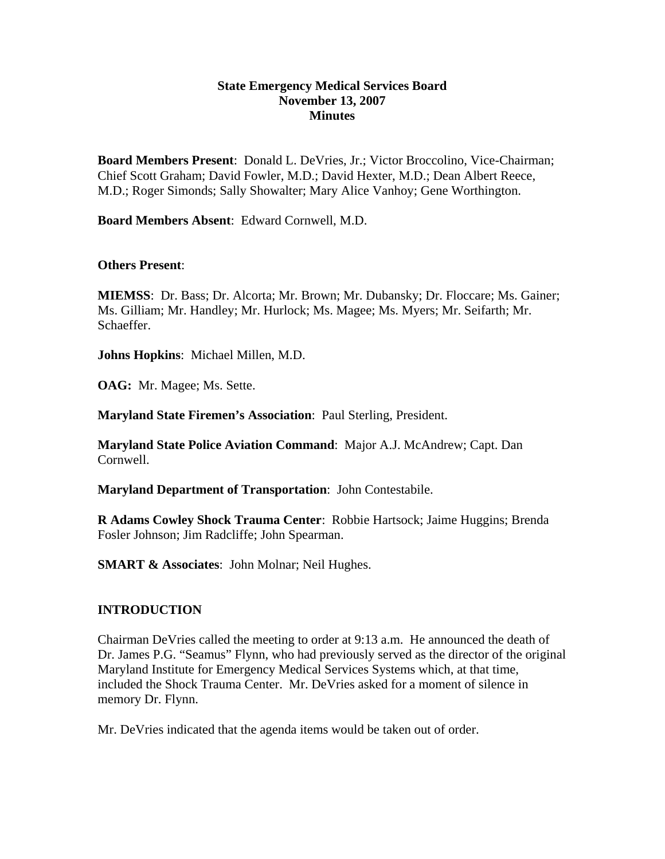#### **State Emergency Medical Services Board November 13, 2007 Minutes**

**Board Members Present**: Donald L. DeVries, Jr.; Victor Broccolino, Vice-Chairman; Chief Scott Graham; David Fowler, M.D.; David Hexter, M.D.; Dean Albert Reece, M.D.; Roger Simonds; Sally Showalter; Mary Alice Vanhoy; Gene Worthington.

**Board Members Absent**: Edward Cornwell, M.D.

#### **Others Present**:

**MIEMSS**: Dr. Bass; Dr. Alcorta; Mr. Brown; Mr. Dubansky; Dr. Floccare; Ms. Gainer; Ms. Gilliam; Mr. Handley; Mr. Hurlock; Ms. Magee; Ms. Myers; Mr. Seifarth; Mr. Schaeffer.

**Johns Hopkins**: Michael Millen, M.D.

**OAG:** Mr. Magee; Ms. Sette.

**Maryland State Firemen's Association**: Paul Sterling, President.

**Maryland State Police Aviation Command**: Major A.J. McAndrew; Capt. Dan Cornwell.

**Maryland Department of Transportation**: John Contestabile.

**R Adams Cowley Shock Trauma Center**: Robbie Hartsock; Jaime Huggins; Brenda Fosler Johnson; Jim Radcliffe; John Spearman.

**SMART & Associates**: John Molnar; Neil Hughes.

#### **INTRODUCTION**

Chairman DeVries called the meeting to order at 9:13 a.m. He announced the death of Dr. James P.G. "Seamus" Flynn, who had previously served as the director of the original Maryland Institute for Emergency Medical Services Systems which, at that time, included the Shock Trauma Center. Mr. DeVries asked for a moment of silence in memory Dr. Flynn.

Mr. DeVries indicated that the agenda items would be taken out of order.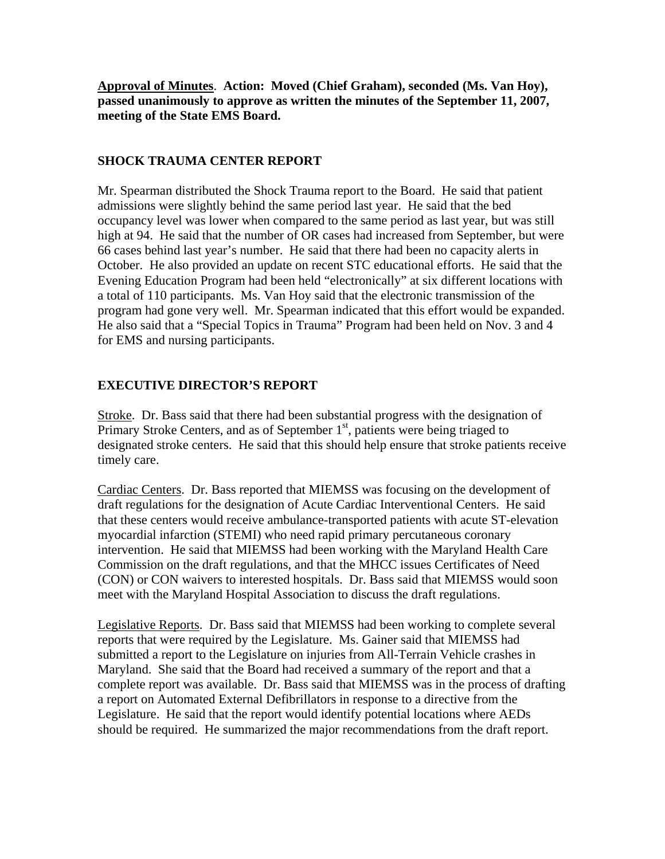**Approval of Minutes**. **Action: Moved (Chief Graham), seconded (Ms. Van Hoy), passed unanimously to approve as written the minutes of the September 11, 2007, meeting of the State EMS Board.** 

## **SHOCK TRAUMA CENTER REPORT**

Mr. Spearman distributed the Shock Trauma report to the Board. He said that patient admissions were slightly behind the same period last year. He said that the bed occupancy level was lower when compared to the same period as last year, but was still high at 94. He said that the number of OR cases had increased from September, but were 66 cases behind last year's number. He said that there had been no capacity alerts in October. He also provided an update on recent STC educational efforts. He said that the Evening Education Program had been held "electronically" at six different locations with a total of 110 participants. Ms. Van Hoy said that the electronic transmission of the program had gone very well. Mr. Spearman indicated that this effort would be expanded. He also said that a "Special Topics in Trauma" Program had been held on Nov. 3 and 4 for EMS and nursing participants.

## **EXECUTIVE DIRECTOR'S REPORT**

Stroke. Dr. Bass said that there had been substantial progress with the designation of Primary Stroke Centers, and as of September  $1<sup>st</sup>$ , patients were being triaged to designated stroke centers. He said that this should help ensure that stroke patients receive timely care.

Cardiac Centers. Dr. Bass reported that MIEMSS was focusing on the development of draft regulations for the designation of Acute Cardiac Interventional Centers. He said that these centers would receive ambulance-transported patients with acute ST-elevation myocardial infarction (STEMI) who need rapid primary percutaneous coronary intervention. He said that MIEMSS had been working with the Maryland Health Care Commission on the draft regulations, and that the MHCC issues Certificates of Need (CON) or CON waivers to interested hospitals. Dr. Bass said that MIEMSS would soon meet with the Maryland Hospital Association to discuss the draft regulations.

Legislative Reports. Dr. Bass said that MIEMSS had been working to complete several reports that were required by the Legislature. Ms. Gainer said that MIEMSS had submitted a report to the Legislature on injuries from All-Terrain Vehicle crashes in Maryland. She said that the Board had received a summary of the report and that a complete report was available. Dr. Bass said that MIEMSS was in the process of drafting a report on Automated External Defibrillators in response to a directive from the Legislature. He said that the report would identify potential locations where AEDs should be required. He summarized the major recommendations from the draft report.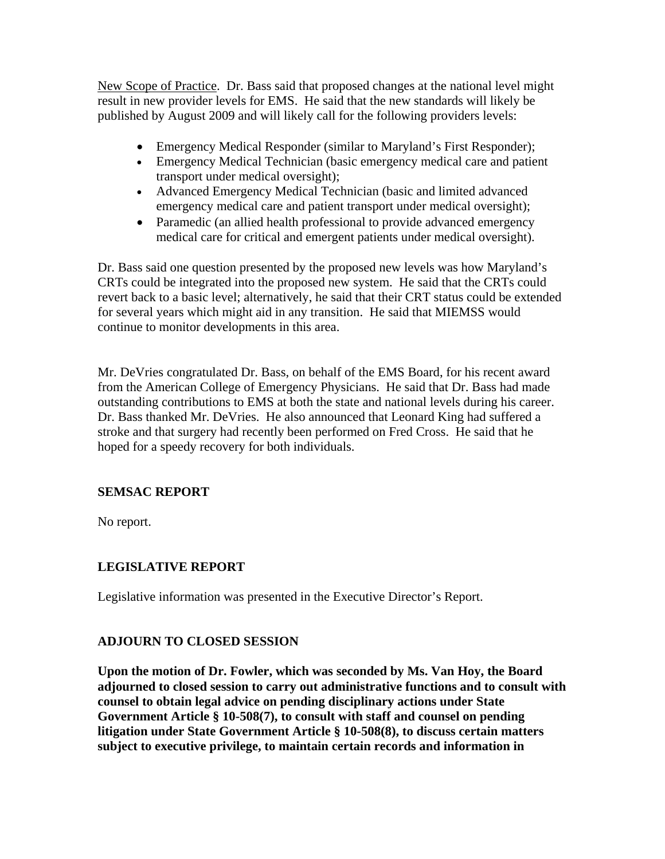New Scope of Practice. Dr. Bass said that proposed changes at the national level might result in new provider levels for EMS. He said that the new standards will likely be published by August 2009 and will likely call for the following providers levels:

- Emergency Medical Responder (similar to Maryland's First Responder);
- Emergency Medical Technician (basic emergency medical care and patient transport under medical oversight);
- Advanced Emergency Medical Technician (basic and limited advanced emergency medical care and patient transport under medical oversight);
- Paramedic (an allied health professional to provide advanced emergency medical care for critical and emergent patients under medical oversight).

Dr. Bass said one question presented by the proposed new levels was how Maryland's CRTs could be integrated into the proposed new system. He said that the CRTs could revert back to a basic level; alternatively, he said that their CRT status could be extended for several years which might aid in any transition. He said that MIEMSS would continue to monitor developments in this area.

Mr. DeVries congratulated Dr. Bass, on behalf of the EMS Board, for his recent award from the American College of Emergency Physicians. He said that Dr. Bass had made outstanding contributions to EMS at both the state and national levels during his career. Dr. Bass thanked Mr. DeVries. He also announced that Leonard King had suffered a stroke and that surgery had recently been performed on Fred Cross. He said that he hoped for a speedy recovery for both individuals.

# **SEMSAC REPORT**

No report.

# **LEGISLATIVE REPORT**

Legislative information was presented in the Executive Director's Report.

## **ADJOURN TO CLOSED SESSION**

**Upon the motion of Dr. Fowler, which was seconded by Ms. Van Hoy, the Board adjourned to closed session to carry out administrative functions and to consult with counsel to obtain legal advice on pending disciplinary actions under State Government Article § 10-508(7), to consult with staff and counsel on pending litigation under State Government Article § 10-508(8), to discuss certain matters subject to executive privilege, to maintain certain records and information in**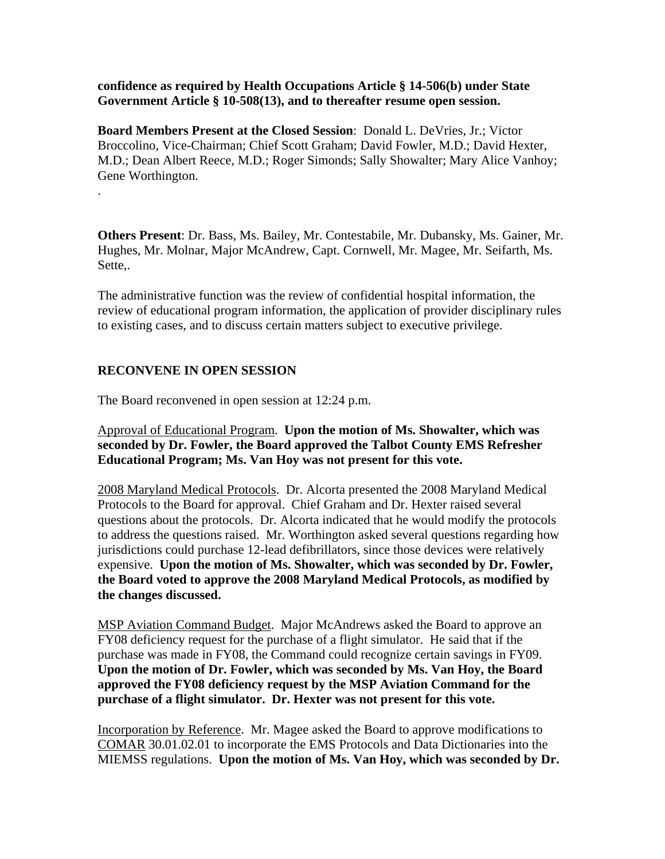**confidence as required by Health Occupations Article § 14-506(b) under State Government Article § 10-508(13), and to thereafter resume open session.** 

**Board Members Present at the Closed Session**: Donald L. DeVries, Jr.; Victor Broccolino, Vice-Chairman; Chief Scott Graham; David Fowler, M.D.; David Hexter, M.D.; Dean Albert Reece, M.D.; Roger Simonds; Sally Showalter; Mary Alice Vanhoy; Gene Worthington.

**Others Present**: Dr. Bass, Ms. Bailey, Mr. Contestabile, Mr. Dubansky, Ms. Gainer, Mr. Hughes, Mr. Molnar, Major McAndrew, Capt. Cornwell, Mr. Magee, Mr. Seifarth, Ms. Sette,.

The administrative function was the review of confidential hospital information, the review of educational program information, the application of provider disciplinary rules to existing cases, and to discuss certain matters subject to executive privilege.

### **RECONVENE IN OPEN SESSION**

.

The Board reconvened in open session at 12:24 p.m.

Approval of Educational Program. **Upon the motion of Ms. Showalter, which was seconded by Dr. Fowler, the Board approved the Talbot County EMS Refresher Educational Program; Ms. Van Hoy was not present for this vote.** 

2008 Maryland Medical Protocols. Dr. Alcorta presented the 2008 Maryland Medical Protocols to the Board for approval. Chief Graham and Dr. Hexter raised several questions about the protocols. Dr. Alcorta indicated that he would modify the protocols to address the questions raised. Mr. Worthington asked several questions regarding how jurisdictions could purchase 12-lead defibrillators, since those devices were relatively expensive. **Upon the motion of Ms. Showalter, which was seconded by Dr. Fowler, the Board voted to approve the 2008 Maryland Medical Protocols, as modified by the changes discussed.** 

MSP Aviation Command Budget. Major McAndrews asked the Board to approve an FY08 deficiency request for the purchase of a flight simulator. He said that if the purchase was made in FY08, the Command could recognize certain savings in FY09. **Upon the motion of Dr. Fowler, which was seconded by Ms. Van Hoy, the Board approved the FY08 deficiency request by the MSP Aviation Command for the purchase of a flight simulator. Dr. Hexter was not present for this vote.** 

Incorporation by Reference. Mr. Magee asked the Board to approve modifications to COMAR 30.01.02.01 to incorporate the EMS Protocols and Data Dictionaries into the MIEMSS regulations. **Upon the motion of Ms. Van Hoy, which was seconded by Dr.**